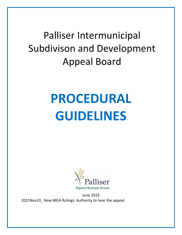## Palliser Intermunicipal Subdivison and Development Appeal Board

# **PROCEDURAL GUIDELINES**



June 2019 2021Nov23\_ New MGA Rulings: Authority to hear the appeal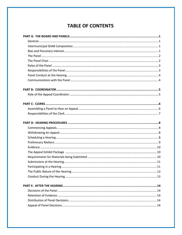## **TABLE OF CONTENTS**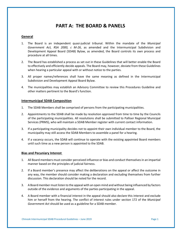### **PART A: THE BOARD & PANELS**

#### **General**

- 1. The Board is an independent quasi-judicial tribunal. Within the mandate of the *Municipal Government Act, RSA 2000, c M-26*, as amended and the Intermunicipal Subdivision and Development Appeal Board (SDAB) Bylaw, as amended, the Board controls its own process and procedure at all times.
- 2. The Board has established a process as set out in these Guidelines that will better enable the Board to effectively and efficiently decide appeals. The Board may, however, deviate from these Guidelines when hearing a particular appeal with or without notice to the parties.
- 3. All proper names/references shall have the same meaning as defined in the Intermunicipal Subdivision and Development Appeal Board Bylaw.
- 4. The municipalities may establish an Advisory Committee to review this Procedures Guideline and other matters pertinent to the Board's function.

#### **Intermunicipal SDAB Composition**

- 1. The SDAB Members shall be comprised of persons from the participating municipalities.
- 2. Appointments to the SDAB shall be made by resolution approved from time to time by the Councils of the participating municipalities. All resolutions shall be submitted to Palliser Regional Municipal Services (PRMS), who will maintain a SDAB Member register with current contact information.
- 3. If a participating municipality decides not to appoint their own individual member to the Board, the municipality may still access the SDAB Members to assemble a panel for a hearing.
- 4. If a vacancy occurs, the SDAB will continue to operate with the existing appointed Board members until such time as a new person is appointed to the SDAB.

#### **Bias and Pecuniary Interest**

- 1. All Board members must consider perceived influence or bias and conduct themselves in an impartial manner based on the principles of judicial fairness.
- 2. If a Board member's presence may affect the deliberations on the appeal or affect the outcome in any way, the member should consider making a declaration and excluding themselves from further discussion. This declaration should be noted for the record.
- 3. A Board member must listen to the appeal with an open mind and without being influenced by factors outside of the evidence and arguments of the parties participating in the appeal.
- 4. A Board member with a financial interest in the appeal should also declare this interest and exclude him or herself from the hearing. The conflict of interest rules under section 172 of the *Municipal Government Act* should be used as a guideline for a SDAB member.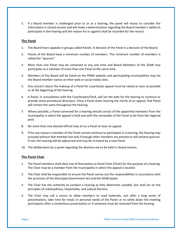5. If a Board member is challenged prior to or at a hearing, the panel will recess to consider the information in closed session and will make a determination regarding the Board member's ability to participate in the hearing and the reason for or against shall be recorded for the record.

#### **The Panel**

- 1. The Board hears appeals in groups called Panels. A decision of the Panel is a decision of the Board.
- 2. Panels of the Board have a minimum number of members. This minimum number of members is called the "quorum".
- 3. More than one Panel may be convened at any one time and Board Members of the SDAB may participate as a member of more than one Panel at the same time.
- 4. Members of the Board will be listed on the PRMS website and participating municipalities may list the Board member names on their web or social media sites.
- 5. Any concern about the makeup of a Panel for a particular appeal must be raised as soon as possible or at the beginning of the hearing.
- 6. A Panel, in consultation with the Coordinator/Clerk, will set the date for the hearing to continue or provide some procedural directions. Once a Panel starts hearing the merits of an appeal, that Panel will remain the same throughout the hearing.
- 7. Where possible, a Panel convened for a hearing should consist of the appointed members from the municipality in which the appeal is held and with the remainder of the Panel to be from the regional pool.
- 8. No more than one elected official may sit on a Panel to hear an appeal.
- 9. If for any reason a member of the Panel cannot continue to participate in a hearing, the hearing may proceed without that member but only if enough other members are present to still achieve quorum. If not, the hearing will be adjourned and may be re-heard by a new Panel.
- 10. The deliberation by a panel regarding the decision are to be held in closed session.

#### **The Panel Chair**

- 1. The Panel members shall elect one of themselves as Panel Chair (Chair) for the purpose of a hearing. The Chair may be a member from the municipality in which the appeal is located.
- 2. The Chair shall be responsible to ensure the Panel carries out the responsibilities in accordance with the provision of the *Municipal Government Act* and the SDAB bylaw.
- 3. The Chair has the authority to conduct a hearing as they determine suitable, but shall act on the principles of unbiasedness, impartiality, and judicial fairness.
- 4. The Chair may call a recess to allow members to read materials, rest after a long series of presentations, take time for meals or personal needs of the Panel, or to settle down the meeting participants after a contentious presentation or if someone must be removed from the hearing.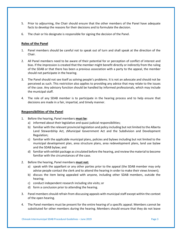- 5. Prior to adjourning, the Chair should ensure that the other members of the Panel have adequate facts to develop the reasons for their decisions and to formulate the decision.
- 6. The chair or his designate is responsible for signing the decision of the Panel.

#### **Roles of the Panel**

- 1. Panel members should be careful not to speak out of turn and shall speak at the direction of the Chair.
- 2. All Panel members need to be aware of their potential for or perception of conflict of interest and bias. If the impression is created that the member might benefit directly or indirectly from the ruling of the SDAB or that there has been a previous association with a party to the appeal, the member should not participate in the hearing.
- 3. The Panel should not see itself as solving people's problems. It is not an advocate and should not be perceived as such. This restriction also applies to providing any advice that may relate to the issues of the case. Any advisory function should be handled by informed professionals, which may include the municipal staff.
- 4. The role of any SDAB member is to participate in the hearing process and to help ensure that decisions are made in a fair, impartial, and timely manner.

#### **Responsibilities of the Panel**

- 1. Before the hearing, Panel members **must be**:
	- a) informed about their legislative and quasi-judicial responsibilities;
	- b) familiar with the relevant provincial legislation and policy including but not limited to the Alberta Land Stewardship Act, zMunicipal Government Act and the Subdivision and Development Regulation;
	- c) familiar with the applicable municipal plans, policies and bylaws including but not limited to the municipal development plan, area structure plans, area redevelopment plans, land use bylaw and the SDAB bylaw; and
	- d) familiar with exhibit package as circulated before the hearing, and review the material to become familiar with the circumstances of the case.
- 2. Before the hearing, Panel members **must not:**
	- a) speak with the appellant or any other parties prior to the appeal (the SDAB member may only advise people contact the clerk and to attend the hearing in order to make their views known);
	- b) discuss the item being appealed with anyone, including other SDAB members, outside the hearing;
	- c) conduct independent research including site visits; or
	- d) form a conclusion prior to attending the hearing.
- 3. Panel members should refrain from discussing appeals with municipal staff except within the context of the open hearing.
- 4. The Panel members must be present for the entire hearing of a specific appeal. Members cannot be substituted for other members during the hearing. Members should ensure that they do not leave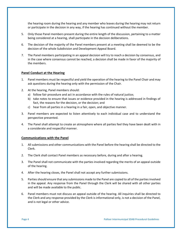the hearing room during the hearing and any member who leaves during the hearing may not return or participate in the decision in any way, if the hearing has continued without the member.

- 5. Only those Panel members present during the entire length of the discussion, pertaining to a matter being considered at a hearing, shall participate in the decision deliberations.
- 6. The decision of the majority of the Panel members present at a meeting shall be deemed to be the decision of the whole Subdivision and Development Appeal Board.
- 7. The Panel members participating in an appeal decision will try to reach a decision by consensus, and in the case where consensus cannot be reached, a decision shall be made in favor of the majority of the members.

#### **Panel Conduct at the Hearing**

- 1. Panel members must be respectful and yield the operation of the hearing to the Panel Chair and may ask questions during the hearing only with the permission of the Chair.
- 2. At the hearing, Panel members should:
	- a) follow fair procedure and act in accordance with the rules of natural justice;
	- b) take notes to ensure that issues or evidence provided in the hearing is addressed in findings of fact, the reasons for the decision, or the decision; and
	- c) hear from all parties in a hearing in a fair, open, and objective manner.
- 3. Panel members are expected to listen attentively to each individual case and to understand the perspective presented.
- 4. The Panel shall attempt to create an atmosphere where all parties feel they have been dealt with in a considerate and respectful manner.

#### **Communications with the Panel**

- 1. All submissions and other communications with the Panel before the hearing shall be directed to the Clerk.
- 2. The Clerk shall contact Panel members as necessary before, during and after a hearing.
- 3. The Panel shall not communicate with the parties involved regarding the merits of an appeal outside of the hearing.
- 4. After the hearing closes, the Panel shall not accept any further submissions.
- 5. Parties should ensure that any submissions made to the Panel are copied to all of the parties involved in the appeal. Any response from the Panel through the Clerk will be shared with all other parties and will be made available to the public.
- 6. Panel members must not discuss an appeal outside of the hearing. All inquiries shall be directed to the Clerk and any response provided by the Clerk is informational only, is not a decision of the Panel, and is not legal or other advice.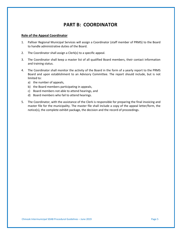## **PART B: COORDINATOR**

#### **Role of the Appeal Coordinator**

- 1. Palliser Regional Municipal Services will assign a Coordinator (staff member of PRMS) to the Board to handle administrative duties of the Board.
- 2. The Coordinator shall assign a Clerk(s) to a specific appeal.
- 3. The Coordinator shall keep a master list of all qualified Board members, their contact information and training status.
- 4. The Coordinator shall monitor the activity of the Board in the form of a yearly report to the PRMS Board and upon establishment to an Advisory Committee. The report should include, but is not limited to:
	- a) the number of appeals,
	- b) the Board members participating in appeals,
	- c) Board members not able to attend hearings, and
	- d) Board members who fail to attend hearings.
- 5. The Coordinator, with the assistance of the Clerk is responsible for preparing the final invoicing and master file for the municipality. The master file shall include a copy of the appeal letter/form, the notice(s), the complete exhibit package, the decision and the record of proceedings.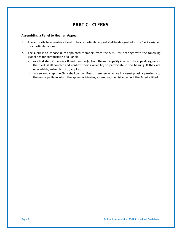## **PART C: CLERKS**

#### **Assembling a Panel to Hear an Appeal**

- 1. The authority to assemble a Panel to hear a particular appeal shall be designated to the Clerk assigned to a particular appeal.
- 2. The Clerk is to choose duly appointed members from the SDAB for hearings with the following guidelines for composition of a Panel:
	- a) as a first step, if there is a Board member(s) from the municipality in which the appeal originates, the Clerk shall contact and confirm their availability to participate in the hearing. If they are unavailable, subsection 2(b) applies;
	- b) as a second step, the Clerk shall contact Board members who live in closest physical proximity to the municipality in which the appeal originates, expanding the distance until the Panel is filled.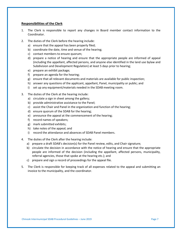#### **Responsibilities of the Clerk**

- 1. The Clerk is responsible to report any changes in Board member contact information to the Coordinator.
- 2. The duties of the Clerk before the hearing include:
	- a) ensure that the appeal has been properly filed;
	- b) coordinate the date, time and venue of the hearing;
	- c) contact members to ensure quorum;
	- d) prepare a notice of hearing and ensure that the appropriate people are informed of appeal (including the appellant, affected persons, and anyone else identified in the land use bylaw and Subdivision and Development Regulation) at least 5 days prior to hearing;
	- e) prepare an exhibit package;
	- f) prepare an agenda for the hearing;
	- g) ensure that all relevant documents and materials are available for public inspection;
	- h) answer any questions of the applicant, appellant, Panel, municipality or public; and
	- i) set up any equipment/materials needed in the SDAB meeting room.
- 3. The duties of the Clerk at the hearing include:
	- a) circulate a sign in sheet among the gallery;
	- b) provide administrative assistance to the Panel;
	- c) assist the Chair and Panel in the organization and function of the hearing;
	- d) ensure quorum of the SDAB for the hearing;
	- e) announce the appeal at the commencement of the hearing;
	- f) record names of speakers;
	- g) mark submitted exhibits;
	- h) take notes of the appeal; and
	- i) record the attendance and absences of SDAB Panel members.
- 4. The duties of the Clerk after the hearing include:
	- a) prepare a draft SDAB's decision(s) for the Panel review, edits, and Chair signature;
	- b) circulate the decision in accordance with the notice of hearing and ensure that the appropriate people are informed of the decision (including the appellant, affected persons, municipality, referral agencies, those that spoke at the hearing etc.); and
	- c) prepare and sign a record of proceedings for the appeal file.
- 5. The Clerk is responsible for keeping track of all expenses related to the appeal and submitting an invoice to the municipality, and the coordinator.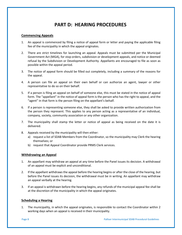## **PART D: HEARING PROCEDURES**

#### **Commencing Appeals**

- 1. An appeal is commenced by filing a notice of appeal form or letter and paying the applicable filing fee of the municipality in which the appeal originates.
- 2. There are strict timelines for launching an appeal. Appeals must be submitted per the Municipal Government Act (MGA), for stop orders, subdivision or development appeals, and notice or deemed refusal by the Subdivision or Development Authority. Appellants are encouraged to file as soon as possible within the appeal period.
- 3. The notice of appeal form should be filled out completely, including a summary of the reasons for the appeal.
- 4. A person can file an appeal on their own behalf or can authorize an agent, lawyer or other representative to do so on their behalf.
- 5. If a person is filing an appeal on behalf of someone else, this must be stated in the notice of appeal form. The "appellant" in the notice of appeal form is the person who has the right to appeal, and the "agent" in that form is the person filing on the appellant's behalf.
- 6. If a person is representing someone else, they shall be asked to provide written authorization from the person they represent. This applies to any person acting as a representative of an individual, company, society, community association or any other organization.
- 7. The municipality shall stamp the letter or notice of appeal as being received on the date it is delivered.
- 8. Appeals received by the municipality will then either:
	- a) request a list of SDAB Members from the Coordinator, so the municipality may Clerk the hearing themselves; or
	- b) request that Appeal Coordinator provide PRMS Clerk services.

#### **Withdrawing an Appeal**

- 1. An appellant may withdraw an appeal at any time before the Panel issues its decision. A withdrawal of an appeal must be explicit and unconditional.
- 2. If the appellant withdraws the appeal before the hearing begins or after the close of the hearing, but before the Panel issues its decision, the withdrawal must be in writing. An appellant may withdraw an appeal verbally at the hearing.
- 3. If an appeal is withdrawn before the hearing begins, any refunds of the municipal appeal fee shall be at the discretion of the municipality in which the appeal originates.

#### **Scheduling a Hearing**

1. The municipality, in which the appeal originates, is responsible to contact the Coordinator within 2 working days when an appeal is received in their municipality.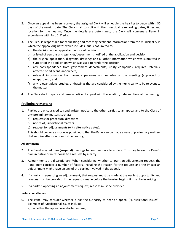- 2. Once an appeal has been received, the assigned Clerk will schedule the hearing to begin within 30 days of the receipt date. The Clerk shall consult with the municipality regarding dates, times and location for the hearing. Once the details are determined, the Clerk will convene a Panel in accordance with Part C: Clerks.
- 3. The Clerk is responsible for requesting and receiving pertinent information from the municipality in which the appeal originates which includes, but is not limited to:
	- a) the decision under appeal and notice of decision;
	- b) a listed of persons and agencies/departments notified of the application and decision;
	- c) the original application, diagrams, drawings and all other information which was submitted in support of the application which was used to render the decision;
	- d) any correspondence from government departments, utility companies, required referrals, affected or adjacent landowners;
	- e) relevant information from agenda packages and minutes of the meeting (approved or unapproved); and
	- f) any relevant plans, studies, or drawings that are considered by the municipality to be relevant to the matter.
- 4. The Clerk shall prepare and issue a notice of appeal with the location, date and time of the hearing.

#### **Preliminary Matters:**

- 1. Parties are encouraged to send written notice to the other parties to an appeal and to the Clerk of any preliminary matters such as:
	- a) requests for procedural directions,
	- b) notice of jurisdictional matters,
	- c) request for adjournments (with alternative dates).

This should be done as soon as possible, so that the Panel can be made aware of preliminary matters that require attention prior to the hearing.

#### **Adjournments**

- 2. The Panel may adjourn (suspend) hearings to continue on a later date. This may be on the Panel's own initiative or in response to a request by a party.
- 3. Adjournments are discretionary. When considering whether to grant an adjournment request, the Panel may consider a number of factors, including the reason for the request and the impact an adjournment might have on any of the parties involved in the appeal.
- 4. If a party is requesting an adjournment, that request must be made at the earliest opportunity and reasons must be provided. If the request is made before the hearing begins, it must be in writing.
- 5. If a party is opposing an adjournment request, reasons must be provided.

#### **Jurisdictional Issues**

- 6. The Panel may consider whether it has the authority to hear an appeal ("jurisdictional issues"). Examples of jurisdictional issues include:
	- a) whether the appeal was started in time,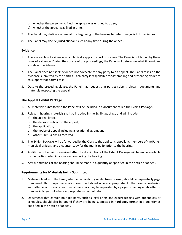- b) whether the person who filed the appeal was entitled to do so,
- c) whether the appeal was filed in time.
- 7. The Panel may dedicate a time at the beginning of the hearing to determine jurisdictional issues.
- 8. The Panel may decide jurisdictional issues at any time during the appeal.

#### **Evidence**

- 1. There are rules of evidence which typically apply to court processes. The Panel is not bound by these rules of evidence. During the course of the proceedings, the Panel will determine what it considers as relevant evidence.
- 2. The Panel does not seek evidence nor advocate for any party to an appeal. The Panel relies on the evidence submitted by the parties. Each party is responsible for assembling and presenting evidence to support that party's case.
- 3. Despite the preceding clause, the Panel may request that parties submit relevant documents and materials respecting the appeal.

#### **The Appeal Exhibit Package**

- 1. All materials submitted to the Panel will be included in a document called the Exhibit Package.
- 2. Relevant hearing materials shall be included in the Exhibit package and will include:
	- a) the appeal letter,
	- b) the decision subject to the appeal,
	- c) the application,
	- d) the notice of appeal including a location diagram, and
	- e) other submissions as received.
- 3. The Exhibit Package will be forwarded by the Clerk to the applicant, appellant, members of the Panel, municipal officials, and a counter copy for the municipality prior to the hearing.
- 4. Additional submissions received after the distribution of the Exhibit Package will be made available to the parties noted in above section during the hearing.
- 5. Any submissions at the hearing should be made in a quantity as specified in the notice of appeal.

#### **Requirements for Materials being Submitted**

- 1. Materials filed with the Panel, whether in hard copy or electronic format, should be sequentially page numbered. Hard copy materials should be tabbed where appropriate. In the case of materials submitted electronically, sections of materials may be separated by a page containing a tab letter or number in large font where appropriate instead of tabs.
- 2. Documents that contain multiple parts, such as legal briefs and expert reports with appendices or schedules, should also be bound if they are being submitted in hard copy format in a quantity as specified in the notice of appeal.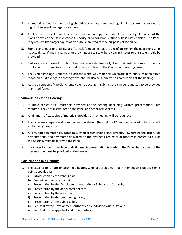- 3. All materials filed for the hearing should be clearly printed and legible. Parties are encouraged to highlight relevant passages or sections.
- 4. Applicants for development permits or subdivision approvals should provide legible copies of the plans on which the Development Authority or Subdivision Authority based its decision. The Panel may request that larger copies of plans be submitted for the purposes of legibility.
- 5. Some plans, maps or drawings are "to scale", meaning that the size of an item on the page represents its actual size. If any plans, maps or drawings are to scale, hard copy printouts to this scale should be provided.
- 6. Parties are encouraged to submit their materials electronically. Electronic submissions must be in a printable format and in a format that is compatible with the Clerk's computer systems.
- 7. The Exhibit Package is printed in black and white. Any materials which are in colour, such as coloured maps, plans, drawings, or photographs, should also be submitted as hard copies at the hearing.
- 8. At the discretion of the Clerk, large volume document submissions can be requested to be provided in printed form.

#### **Submissions at the Hearing**

- 1. Multiple copies of all materials provided at the hearing (including written presentations) are required. They are distributed to the Panel and other participants.
- 2. A minimum of 12 copies of materials provided at the hearing will be required.
- 3. The Panel may require additional copies of materials (beyond the 12 discussed above) to be provided, at the party's expense.
- 4. All presentation materials, including written presentations, photographs, PowerPoint and other slide presentations, and any materials placed on the overhead projector or otherwise presented during the hearing, must be left with the Panel.
- 5. If a PowerPoint or other type of digital media presentation is made to the Panel, hard copies of the presentation must be provided at the hearing.

#### **Participating in a Hearing**

- 1. The usual order of presentation in a hearing when a development permit or subdivision decision is being appealed is:
	- a) Introduction by the Panel Chair,
	- b) Preliminary matters (if any),
	- c) Presentation by the Development Authority or Subdivision Authority,
	- d) Presentation by the appellant/applicant,
	- e) Presentation by the appellant,
	- f) Presentation by Government agencies,
	- g) Presentations from public gallery,
	- h) Rebuttal by the Development Authority or Subdivision Authority, and
	- i) Rebuttal by the appellant and other parties.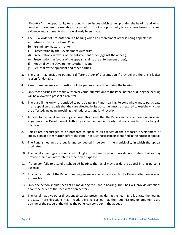"Rebuttal" is the opportunity to respond to new issues which came up during the hearing and which could not have been reasonably anticipated. It is not an opportunity to raise new issues or repeat evidence and arguments that have already been made.

- 2. The usual order of presentation in a hearing when an enforcement order is being appealed is:
	- a) Introduction by the Panel Chair,
	- b) Preliminary matters (if any),
	- c) Presentation by the Development Authority,
	- d) Presentations in favour of the enforcement order (against the appeal),
	- e) Presentations in favour of the appeal (against the enforcement order),
	- f) Rebuttal by the Development Authority, and
	- g) Rebuttal by the appellant and other parties.
- 3. The Chair may decide to outline a different order of presentation if they believe there is a logical reason for doing so.
- 4. Panel members may ask questions of the parties at any time during the hearing.
- 5. Only those parties who made written or verbal submissions to the Panel before or during the hearing will be allowed to present a rebuttal.
- 6. There are limits on who is entitled to participate in a Panel hearing. Persons who want to participate in an appeal on the basis that they are affected by its outcome must be prepared to explain why they are affected, including providing their addresses and land locations.
- 7. Appeals to the Panel are hearings *de novo*. This means that the Panel can consider new evidence and arguments the Development Authority or Subdivision Authority did not consider in reaching its decision.
- 8. Parties are encouraged to be prepared to speak to all aspects of the proposed development or subdivision or other matter before the Panel, not just those aspects identified in the notice of appeal.
- 9. The Panel's hearings are public and conducted in person in the municipality in which the appeal originates.
- 10. The Panel's hearings are conducted in English. The Panel does not provide interpreters. Parties may provide their own interpreters at their own expense.
- 11. If a person fails to attend a scheduled hearing, the Panel may decide the appeal in that person's absence.
- 12. Any concerns about the Panel's hearing processes should be drawn to the Panel's attention as soon as possible.
- 13. Only one person should speak at a time during the Panel's hearing. The Chair will provide directions about the order of the speakers or presenters.
- 13. The Panel may give other directions to parties presenting during the hearing to facilitate the hearing process. These directions may include advising parties that their submissions or arguments are outside of the scope of the things the Panel can consider in the appeal.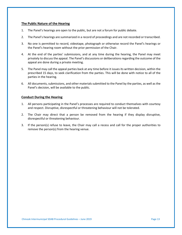#### **The Public Nature of the Hearing**

- 1. The Panel's hearings are open to the public, but are not a forum for public debate.
- 2. The Panel's hearings are summarized in a record of proceedings and are not recorded or transcribed.
- 3. No one is permitted to record, videotape, photograph or otherwise record the Panel's hearings or the Panel's hearing room without the prior permission of the Chair.
- 4. At the end of the parties' submissions, and at any time during the hearing, the Panel may meet privately to discuss the appeal. The Panel's discussions or deliberations regarding the outcome of the appeal are done during a private meeting.
- 5. The Panel may call the appeal parties back at any time before it issues its written decision, within the prescribed 15 days, to seek clarification from the parties. This will be done with notice to all of the parties in the hearing.
- 6. All documents, submissions, and other materials submitted to the Panel by the parties, as well as the Panel's decision, will be available to the public.

#### **Conduct During the Hearing**

- 1. All persons participating in the Panel's processes are required to conduct themselves with courtesy and respect. Disruptive, disrespectful or threatening behaviour will not be tolerated.
- 2. The Chair may direct that a person be removed from the hearing if they display disruptive, disrespectful or threatening behaviour.
- 3. If the person(s) refuse to leave, the Chair may call a recess and call for the proper authorities to remove the person(s) from the hearing venue.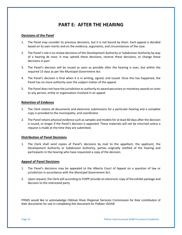## **PART E: AFTER THE HEARING**

#### **Decisions of the Panel**

- 1. The Panel may consider its previous decisions, but it is not bound by them. Each appeal is decided based on its own merits and on the evidence, arguments, and circumstances of the case.
- 2. The Panel's role is to review decisions of the Development Authority or Subdivision Authority by way of a hearing *de novo*. It may uphold these decisions, reverse these decisions, or change these decisions in part.
- 3. The Panel's decision will be issued as soon as possible after the hearing is over, but within the required 15 days as per the *Municipal Government Act*.
- 4. The Panel's decision is final when it is in writing, signed, and issued. Once this has happened, the Panel has no more authority over the subject matter of the appeal.
- 5. The Panel does not have the jurisdiction or authority to award pecuniary or monetary awards or costs to any person, entity or organization involved in an appeal.

#### **Retention of Evidence**

- 1. The Clerk retains all documents and electronic submissions for a particular hearing and a complete copy is provided to the municipality, and coordinator.
- 2. The Panel retains physical evidence such as samples and models for at least 60 days after the decision is issued, or longer if the Panel's decision is appealed. These materials will not be returned unless a request is made at the time they are submitted.

#### **Distribution of Panel Decisions**

1. The Clerk shall send copies of Panel's decisions by mail to the appellant, the applicant, the Development Authority or Subdivision Authority, parties originally notified of the hearing and participants in the hearing who have requested a copy of the decision.

#### **Appeal of Panel Decisions**

- 1. The Panel's decisions may be appealed to the Alberta Court of Appeal on a question of law or jurisdiction in accordance with the *Municipal Government Act*.
- 2. Upon request, the Clerk will according to FOIPP provide an electronic copy of the exhibit package and decision to the interested party.

PRMS would like to acknowledge Oldman River Regional Services Commission for their contribution of their documents for use in completing this document for Palliser ISDAB